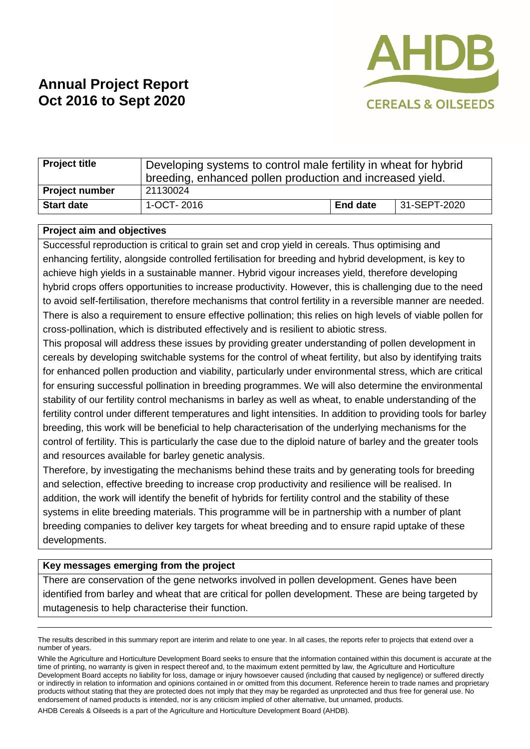

# **Annual Project Report Oct 2016 to Sept 2020**

| <b>Project title</b>  | Developing systems to control male fertility in wheat for hybrid<br>breeding, enhanced pollen production and increased yield. |          |              |
|-----------------------|-------------------------------------------------------------------------------------------------------------------------------|----------|--------------|
| <b>Project number</b> | 21130024                                                                                                                      |          |              |
| <b>Start date</b>     | 1-OCT-2016                                                                                                                    | End date | 31-SEPT-2020 |

## **Project aim and objectives**

Successful reproduction is critical to grain set and crop yield in cereals. Thus optimising and enhancing fertility, alongside controlled fertilisation for breeding and hybrid development, is key to achieve high yields in a sustainable manner. Hybrid vigour increases yield, therefore developing hybrid crops offers opportunities to increase productivity. However, this is challenging due to the need to avoid self-fertilisation, therefore mechanisms that control fertility in a reversible manner are needed. There is also a requirement to ensure effective pollination; this relies on high levels of viable pollen for cross-pollination, which is distributed effectively and is resilient to abiotic stress.

This proposal will address these issues by providing greater understanding of pollen development in cereals by developing switchable systems for the control of wheat fertility, but also by identifying traits for enhanced pollen production and viability, particularly under environmental stress, which are critical for ensuring successful pollination in breeding programmes. We will also determine the environmental stability of our fertility control mechanisms in barley as well as wheat, to enable understanding of the fertility control under different temperatures and light intensities. In addition to providing tools for barley breeding, this work will be beneficial to help characterisation of the underlying mechanisms for the control of fertility. This is particularly the case due to the diploid nature of barley and the greater tools and resources available for barley genetic analysis.

Therefore, by investigating the mechanisms behind these traits and by generating tools for breeding and selection, effective breeding to increase crop productivity and resilience will be realised. In addition, the work will identify the benefit of hybrids for fertility control and the stability of these systems in elite breeding materials. This programme will be in partnership with a number of plant breeding companies to deliver key targets for wheat breeding and to ensure rapid uptake of these developments.

## **Key messages emerging from the project**

There are conservation of the gene networks involved in pollen development. Genes have been identified from barley and wheat that are critical for pollen development. These are being targeted by mutagenesis to help characterise their function.

AHDB Cereals & Oilseeds is a part of the Agriculture and Horticulture Development Board (AHDB).

The results described in this summary report are interim and relate to one year. In all cases, the reports refer to projects that extend over a number of years.

While the Agriculture and Horticulture Development Board seeks to ensure that the information contained within this document is accurate at the time of printing, no warranty is given in respect thereof and, to the maximum extent permitted by law, the Agriculture and Horticulture Development Board accepts no liability for loss, damage or injury howsoever caused (including that caused by negligence) or suffered directly or indirectly in relation to information and opinions contained in or omitted from this document. Reference herein to trade names and proprietary products without stating that they are protected does not imply that they may be regarded as unprotected and thus free for general use. No endorsement of named products is intended, nor is any criticism implied of other alternative, but unnamed, products.